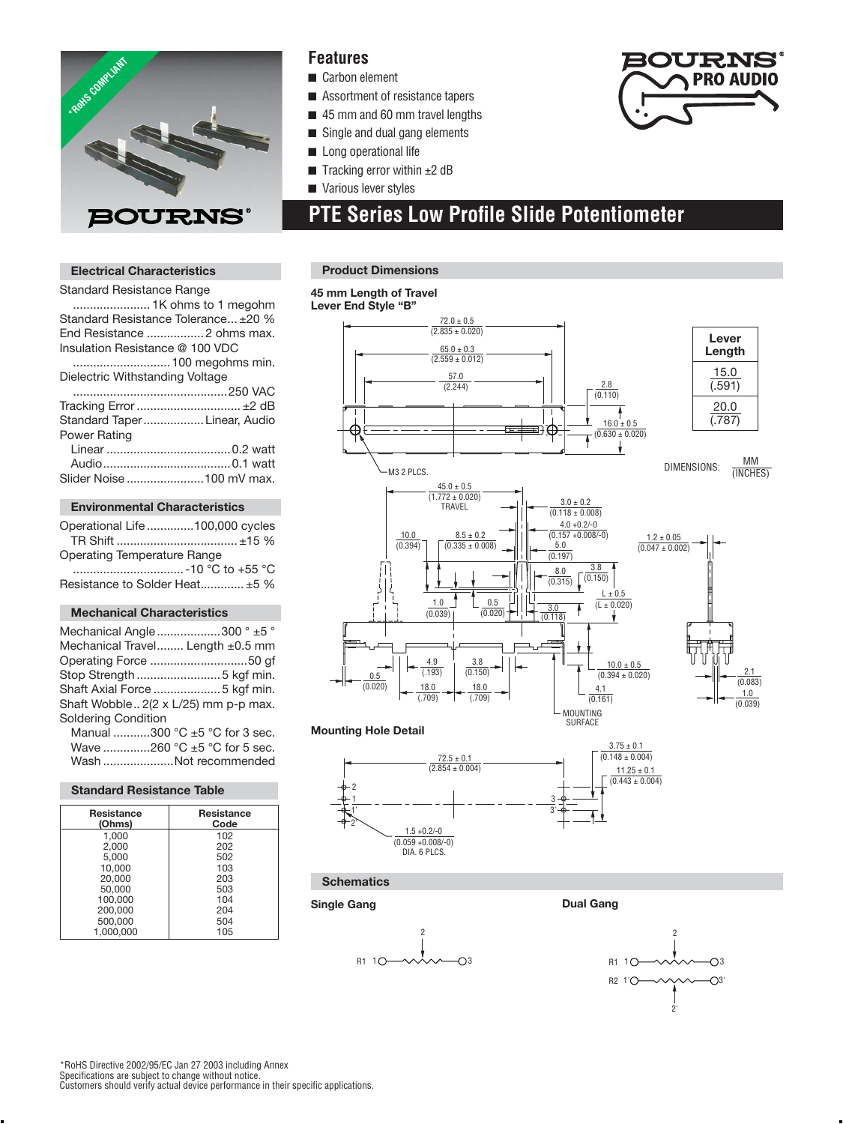

## **Features**

- Carbon element
- Assortment of resistance tapers
- 45 mm and 60 mm travel lengths
- Single and dual gang elements
- Long operational life
- Tracking error within  $±2$  dB
- Various lever styles

## **PTE Series Low Profile Slide Potentiometer**

## **Electrical Characteristics**

| <b>Standard Resistance Range</b>    |
|-------------------------------------|
|                                     |
| Standard Resistance Tolerance ±20 % |
| End Resistance  2 ohms max.         |
| Insulation Resistance @ 100 VDC     |
|                                     |
| Dielectric Withstanding Voltage     |
|                                     |
|                                     |
| Standard Taper Linear, Audio        |
| <b>Power Rating</b>                 |
|                                     |
|                                     |
| Slider Noise 100 mV max.            |
|                                     |

## **Environmental Characteristics**

| Operational Life 100,000 cycles    |                  |
|------------------------------------|------------------|
|                                    |                  |
| <b>Operating Temperature Range</b> |                  |
|                                    | -10 °C to +55 °C |
| Resistance to Solder Heat ±5 %     |                  |

### **Mechanical Characteristics**

| Mechanical Angle 300 $^{\circ}$ $\pm$ 5 $^{\circ}$ |
|----------------------------------------------------|
| Mechanical Travel Length ±0.5 mm                   |
| Operating Force 50 gf                              |
| Stop Strength 5 kgf min.                           |
| Shaft Axial Force 5 kgf min.                       |
| Shaft Wobble 2(2 x L/25) mm p-p max.               |
|                                                    |
| Manual 300 °C $\pm$ 5 °C for 3 sec.                |
|                                                    |

Wave ................260 °C ±5 °C for 5 sec. Wash .....................Not recommended

#### **Standard Resistance Table**

| Resistance<br>(Ohms) | <b>Resistance</b><br>Code |
|----------------------|---------------------------|
| 1.000                | 102                       |
| 2.000                | 202                       |
| 5.000                | 502                       |
| 10.000               | 103                       |
| 20.000               | 203                       |
| 50.000               | 503                       |
| 100,000              | 104                       |
| 200.000              | 204                       |
| 500,000              | 504                       |
| 1.000.000            | 105                       |

### **Product Dimensions**

#### **45 mm Length of Travel**

**Lever End Style "B"**



#### **Mounting Hole Detail**



## **Schematics**

## **Single Gang Dual Gang**





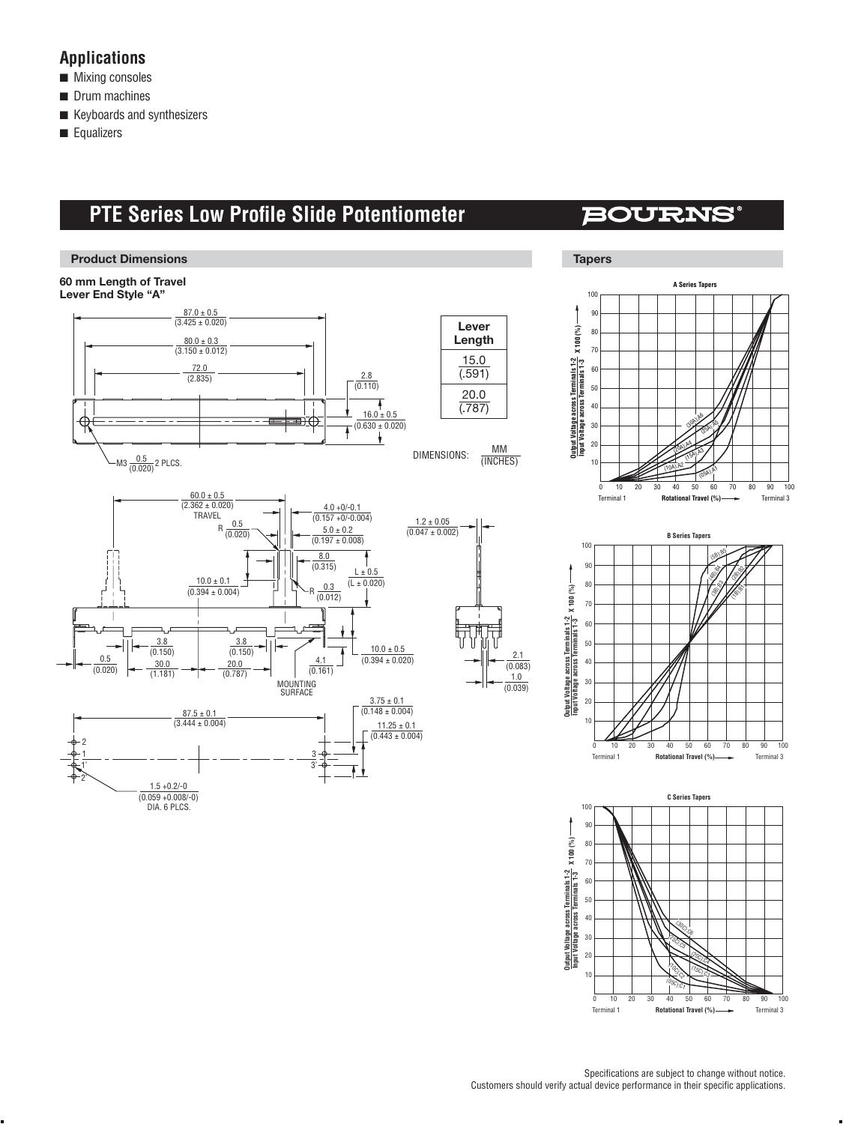## **Applications**

- Mixing consoles
- Drum machines
- Keyboards and synthesizers
- Equalizers

## **PTE Series Low Profile Slide Potentiometer**

## **BOURNS®**



20

30

40

 $(05C)$ (10<sub>C)</sub><br>K  $\frac{1}{50}$  $\begin{smallmatrix}\begin{smallmatrix}\mathscr{L} \mathscr{L} \end{smallmatrix}\end{smallmatrix}$  $\begin{picture}(4,4) \put(0,0) \put(0,0.5) \put(0,0.5) \put(0,0.5) \put(0,0.5) \put(0,0.5) \put(0,0.5) \put(0,0.5) \put(0,0.5) \put(0,0.5) \put(0,0.5) \put(0,0.5) \put(0,0.5) \put(0,0.5) \put(0,0.5) \put(0,0.5) \put(0,0.5) \put(0,0.5) \put(0,0.5) \put(0,0.5) \put(0,0.5) \put(0,0.5) \put(0,0.5) \put(0,0$ (30 C)<br>Si

50

 $60$ 

70

**Rotational Travel (%) Fig. 2** Terminal 3

80

90

100

 $\overline{0}$  10

Terminal 1

10

20

30

40

50